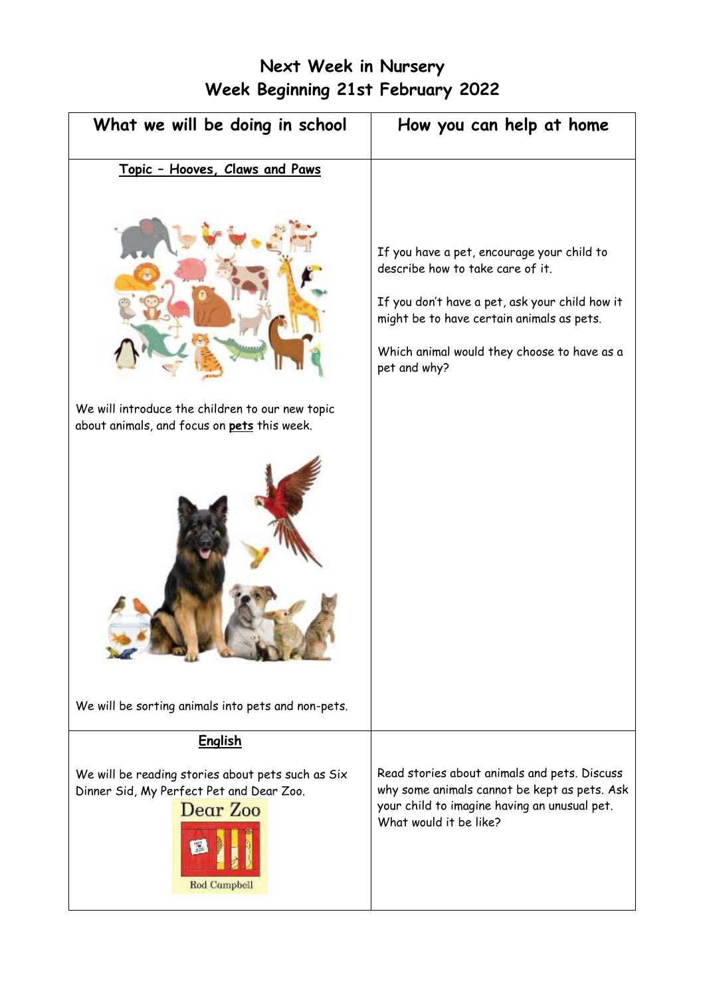# **Next Week in Nursery Week Beginning 21st February 2022**

| What we will be doing in school                                                                | How you can help at home                                                                                                                                                                                                                     |
|------------------------------------------------------------------------------------------------|----------------------------------------------------------------------------------------------------------------------------------------------------------------------------------------------------------------------------------------------|
| Topic - Hooves, Claws and Paws                                                                 |                                                                                                                                                                                                                                              |
|                                                                                                | If you have a pet, encourage your child to<br>describe how to take care of it.<br>If you don't have a pet, ask your child how it<br>might be to have certain animals as pets.<br>Which animal would they choose to have as a<br>pet and why? |
| We will introduce the children to our new topic<br>about animals, and focus on pets this week. |                                                                                                                                                                                                                                              |
|                                                                                                |                                                                                                                                                                                                                                              |
| We will be sorting animals into pets and non-pets.                                             |                                                                                                                                                                                                                                              |
| <b>English</b><br>We will be reading stories about pets such as Six                            | Read stories about animals and pets. Discuss                                                                                                                                                                                                 |
| Dinner Sid, My Perfect Pet and Dear Zoo.<br>Dear Zoo<br><b>Rod Campbell</b>                    | why some animals cannot be kept as pets. Ask<br>your child to imagine having an unusual pet.<br>What would it be like?                                                                                                                       |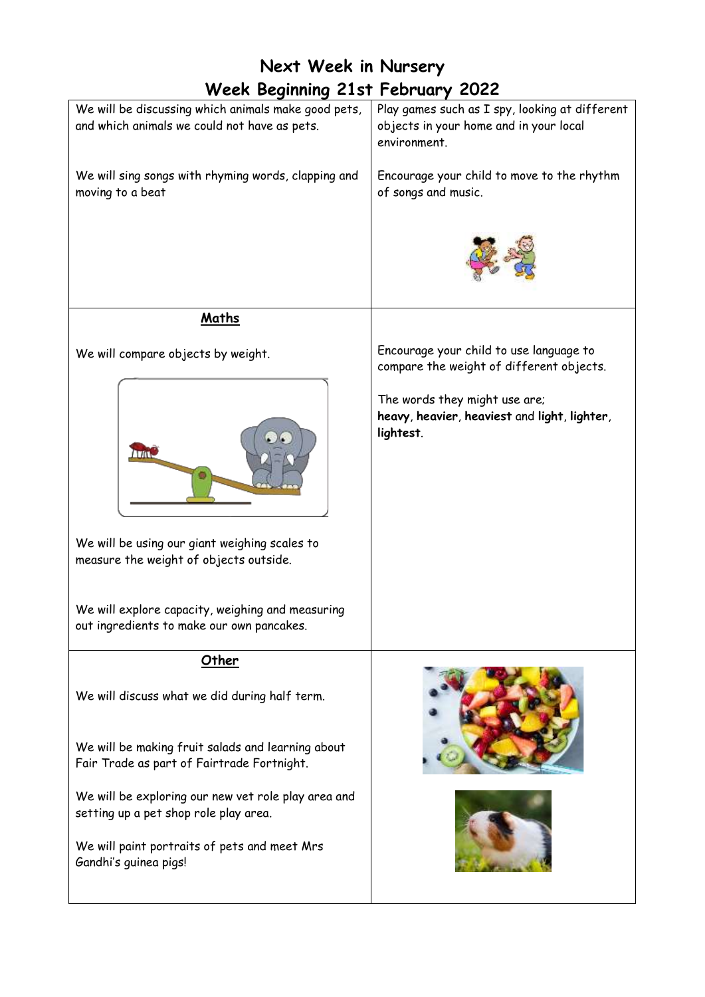| <b>Week Beginning 21st February 2022</b><br>Play games such as I spy, looking at different<br>objects in your home and in your local<br>environment. |
|------------------------------------------------------------------------------------------------------------------------------------------------------|
|                                                                                                                                                      |
|                                                                                                                                                      |
| Encourage your child to move to the rhythm<br>of songs and music.                                                                                    |
|                                                                                                                                                      |
|                                                                                                                                                      |
| Encourage your child to use language to<br>compare the weight of different objects.                                                                  |
| The words they might use are;<br>heavy, heavier, heaviest and light, lighter,<br>lightest.                                                           |
|                                                                                                                                                      |
|                                                                                                                                                      |
|                                                                                                                                                      |
|                                                                                                                                                      |
|                                                                                                                                                      |
|                                                                                                                                                      |
|                                                                                                                                                      |
|                                                                                                                                                      |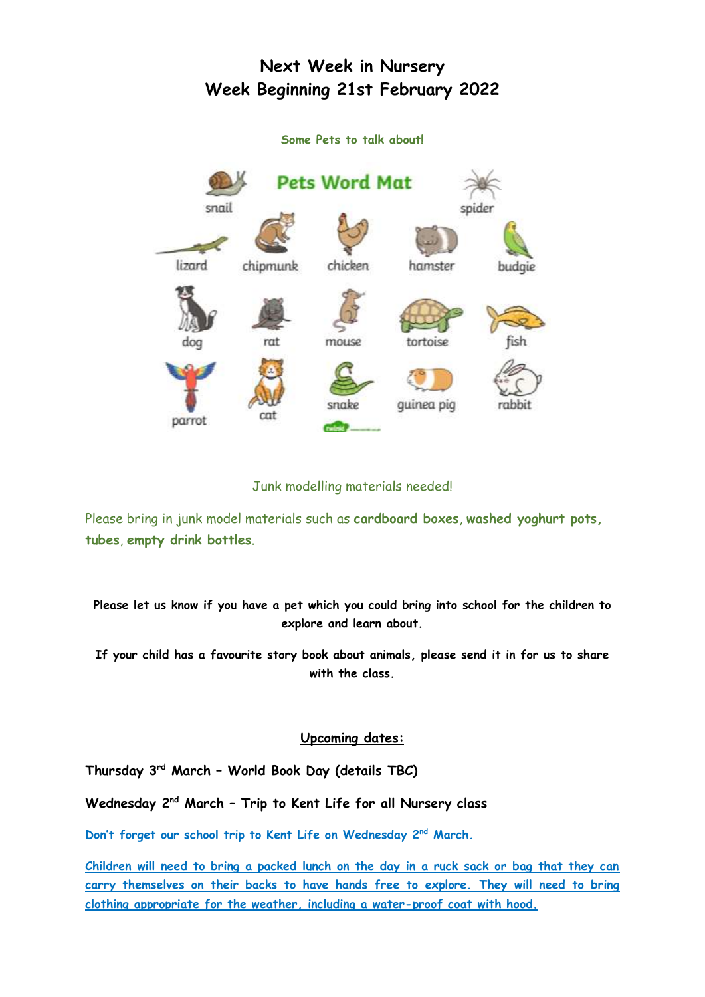### **Next Week in Nursery Week Beginning 21st February 2022**



#### Junk modelling materials needed!

Please bring in junk model materials such as **cardboard boxes**, **washed yoghurt pots, tubes**, **empty drink bottles**.

**Please let us know if you have a pet which you could bring into school for the children to explore and learn about.**

**If your child has a favourite story book about animals, please send it in for us to share with the class.** 

#### **Upcoming dates:**

**Thursday 3 rd March – World Book Day (details TBC)**

**Wednesday 2nd March – Trip to Kent Life for all Nursery class**

**Don't forget our school trip to Kent Life on Wednesday 2nd March.**

**Children will need to bring a packed lunch on the day in a ruck sack or bag that they can carry themselves on their backs to have hands free to explore. They will need to bring clothing appropriate for the weather, including a water-proof coat with hood.**